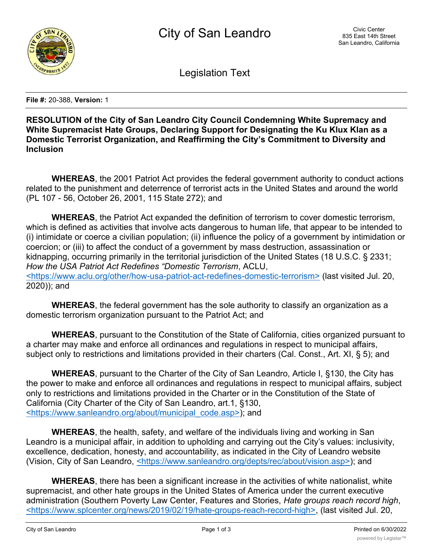

Legislation Text

**File #:** 20-388, **Version:** 1

## **RESOLUTION of the City of San Leandro City Council Condemning White Supremacy and White Supremacist Hate Groups, Declaring Support for Designating the Ku Klux Klan as a Domestic Terrorist Organization, and Reaffirming the City's Commitment to Diversity and Inclusion**

**WHEREAS**, the 2001 Patriot Act provides the federal government authority to conduct actions related to the punishment and deterrence of terrorist acts in the United States and around the world (PL 107 - 56, October 26, 2001, 115 State 272); and

**WHEREAS**, the Patriot Act expanded the definition of terrorism to cover domestic terrorism, which is defined as activities that involve acts dangerous to human life, that appear to be intended to (i) intimidate or coerce a civilian population; (ii) influence the policy of a government by intimidation or coercion; or (iii) to affect the conduct of a government by mass destruction, assassination or kidnapping, occurring primarily in the territorial jurisdiction of the United States (18 U.S.C. § 2331; *How the USA Patriot Act Redefines "Domestic Terrorism*, ACLU, <https://www.aclu.org/other/how-usa-patriot-act-redefines-domestic-terrorism> (last visited Jul. 20, 2020)); and

**WHEREAS**, the federal government has the sole authority to classify an organization as a domestic terrorism organization pursuant to the Patriot Act; and

**WHEREAS**, pursuant to the Constitution of the State of California, cities organized pursuant to a charter may make and enforce all ordinances and regulations in respect to municipal affairs, subject only to restrictions and limitations provided in their charters (Cal. Const., Art. XI, § 5); and

**WHEREAS**, pursuant to the Charter of the City of San Leandro, Article I, §130, the City has the power to make and enforce all ordinances and regulations in respect to municipal affairs, subject only to restrictions and limitations provided in the Charter or in the Constitution of the State of California (City Charter of the City of San Leandro, art.1, §130, <https://www.sanleandro.org/about/municipal\_code.asp>); and

**WHEREAS**, the health, safety, and welfare of the individuals living and working in San Leandro is a municipal affair, in addition to upholding and carrying out the City's values: inclusivity, excellence, dedication, honesty, and accountability, as indicated in the City of Leandro website (Vision, City of San Leandro, <https://www.sanleandro.org/depts/rec/about/vision.asp>); and

**WHEREAS**, there has been a significant increase in the activities of white nationalist, white supremacist, and other hate groups in the United States of America under the current executive administration (Southern Poverty Law Center, Features and Stories, *Hate groups reach record high*, <https://www.splcenter.org/news/2019/02/19/hate-groups-reach-record-high>, (last visited Jul. 20,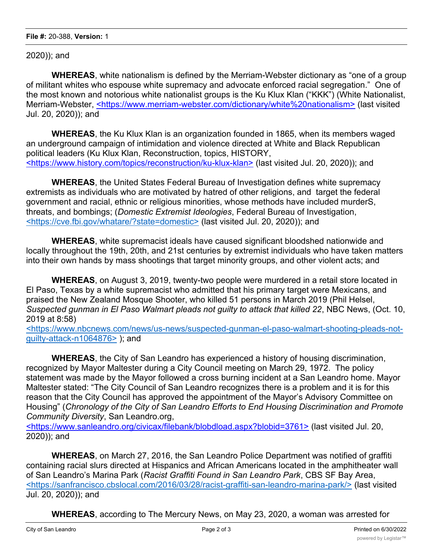2020)); and

**WHEREAS**, white nationalism is defined by the Merriam-Webster dictionary as "one of a group of militant whites who espouse white supremacy and advocate enforced racial segregation." One of the most known and notorious white nationalist groups is the Ku Klux Klan ("KKK") (White Nationalist, Merriam-Webster, <https://www.merriam-webster.com/dictionary/white%20nationalism> (last visited Jul. 20, 2020)); and

**WHEREAS**, the Ku Klux Klan is an organization founded in 1865, when its members waged an underground campaign of intimidation and violence directed at White and Black Republican political leaders (Ku Klux Klan, Reconstruction, topics, HISTORY, <https://www.history.com/topics/reconstruction/ku-klux-klan> (last visited Jul. 20, 2020)); and

**WHEREAS**, the United States Federal Bureau of Investigation defines white supremacy extremists as individuals who are motivated by hatred of other religions, and target the federal government and racial, ethnic or religious minorities, whose methods have included murderS, threats, and bombings; (*Domestic Extremist Ideologies*, Federal Bureau of Investigation, <https://cve.fbi.gov/whatare/?state=domestic> (last visited Jul. 20, 2020)); and

**WHEREAS**, white supremacist ideals have caused significant bloodshed nationwide and locally throughout the 19th, 20th, and 21st centuries by extremist individuals who have taken matters into their own hands by mass shootings that target minority groups, and other violent acts; and

**WHEREAS**, on August 3, 2019, twenty-two people were murdered in a retail store located in El Paso, Texas by a white supremacist who admitted that his primary target were Mexicans, and praised the New Zealand Mosque Shooter, who killed 51 persons in March 2019 (Phil Helsel, *Suspected gunman in El Paso Walmart pleads not guilty to attack that killed 22*, NBC News, (Oct. 10, 2019 at 8:58)

<https://www.nbcnews.com/news/us-news/suspected-gunman-el-paso-walmart-shooting-pleads-notguilty-attack-n1064876> ); and

**WHEREAS**, the City of San Leandro has experienced a history of housing discrimination, recognized by Mayor Maltester during a City Council meeting on March 29, 1972. The policy statement was made by the Mayor followed a cross burning incident at a San Leandro home. Mayor Maltester stated: "The City Council of San Leandro recognizes there is a problem and it is for this reason that the City Council has approved the appointment of the Mayor's Advisory Committee on Housing" (*Chronology of the City of San Leandro Efforts to End Housing Discrimination and Promote Community Diversity*, San Leandro.org,

<https://www.sanleandro.org/civicax/filebank/blobdload.aspx?blobid=3761> (last visited Jul. 20, 2020)); and

**WHEREAS**, on March 27, 2016, the San Leandro Police Department was notified of graffiti containing racial slurs directed at Hispanics and African Americans located in the amphitheater wall of San Leandro's Marina Park (*Racist Graffiti Found in San Leandro Park*, CBS SF Bay Area, <https://sanfrancisco.cbslocal.com/2016/03/28/racist-graffiti-san-leandro-marina-park/> (last visited Jul. 20, 2020)); and

**WHEREAS**, according to The Mercury News, on May 23, 2020, a woman was arrested for